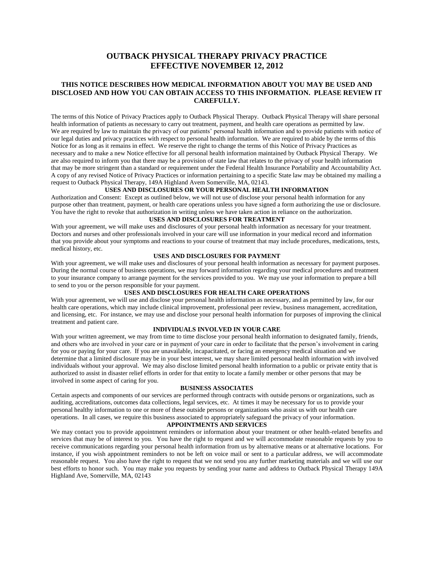# **OUTBACK PHYSICAL THERAPY PRIVACY PRACTICE EFFECTIVE NOVEMBER 12, 2012**

## **THIS NOTICE DESCRIBES HOW MEDICAL INFORMATION ABOUT YOU MAY BE USED AND DISCLOSED AND HOW YOU CAN OBTAIN ACCESS TO THIS INFORMATION. PLEASE REVIEW IT CAREFULLY.**

The terms of this Notice of Privacy Practices apply to Outback Physical Therapy. Outback Physical Therapy will share personal health information of patients as necessary to carry out treatment, payment, and health care operations as permitted by law. We are required by law to maintain the privacy of our patients' personal health information and to provide patients with notice of our legal duties and privacy practices with respect to personal health information. We are required to abide by the terms of this Notice for as long as it remains in effect. We reserve the right to change the terms of this Notice of Privacy Practices as necessary and to make a new Notice effective for all personal health information maintained by Outback Physical Therapy. We are also required to inform you that there may be a provision of state law that relates to the privacy of your health information that may be more stringent than a standard or requirement under the Federal Health Insurance Portability and Accountability Act. A copy of any revised Notice of Privacy Practices or information pertaining to a specific State law may be obtained my mailing a request to Outback Physical Therapy, 149A Highland Avem Somerville, MA, 02143.

### **USES AND DISCLOSURES OR YOUR PERSONAL HEALTH INFORMATION**

Authorization and Consent: Except as outlined below, we will not use of disclose your personal health information for any purpose other than treatment, payment, or health care operations unless you have signed a form authorizing the use or disclosure. You have the right to revoke that authorization in writing unless we have taken action in reliance on the authorization.

## **USES AND DISCLOSURES FOR TREATMENT**

With your agreement, we will make uses and disclosures of your personal health information as necessary for your treatment. Doctors and nurses and other professionals involved in your care will use information in your medical record and information that you provide about your symptoms and reactions to your course of treatment that may include procedures, medications, tests, medical history, etc.

#### **USES AND DISCLOSURES FOR PAYMENT**

With your agreement, we will make uses and disclosures of your personal health information as necessary for payment purposes. During the normal course of business operations, we may forward information regarding your medical procedures and treatment to your insurance company to arrange payment for the services provided to you. We may use your information to prepare a bill to send to you or the person responsible for your payment.

# **USES AND DISCLOSURES FOR HEALTH CARE OPERATIONS**

With your agreement, we will use and disclose your personal health information as necessary, and as permitted by law, for our health care operations, which may include clinical improvement, professional peer review, business management, accreditation, and licensing, etc. For instance, we may use and disclose your personal health information for purposes of improving the clinical treatment and patient care.

## **INDIVIDUALS INVOLVED IN YOUR CARE**

With your written agreement, we may from time to time disclose your personal health information to designated family, friends, and others who are involved in your care or in payment of your care in order to facilitate that the person's involvement in caring for you or paying for your care. If you are unavailable, incapacitated, or facing an emergency medical situation and we determine that a limited disclosure may be in your best interest, we may share limited personal health information with involved individuals without your approval. We may also disclose limited personal health information to a public or private entity that is authorized to assist in disaster relief efforts in order for that entity to locate a family member or other persons that may be involved in some aspect of caring for you.

#### **BUSINESS ASSOCIATES**

Certain aspects and components of our services are performed through contracts with outside persons or organizations, such as auditing, accreditations, outcomes data collections, legal services, etc. At times it may be necessary for us to provide your personal healthy information to one or more of these outside persons or organizations who assist us with our health care operations. In all cases, we require this business associated to appropriately safeguard the privacy of your information.

#### **APPOINTMENTS AND SERVICES**

We may contact you to provide appointment reminders or information about your treatment or other health-related benefits and services that may be of interest to you. You have the right to request and we will accommodate reasonable requests by you to receive communications regarding your personal health information from us by alternative means or at alternative locations. For instance, if you wish appointment reminders to not be left on voice mail or sent to a particular address, we will accommodate reasonable request. You also have the right to request that we not send you any further marketing materials and we will use our best efforts to honor such. You may make you requests by sending your name and address to Outback Physical Therapy 149A Highland Ave, Somerville, MA, 02143